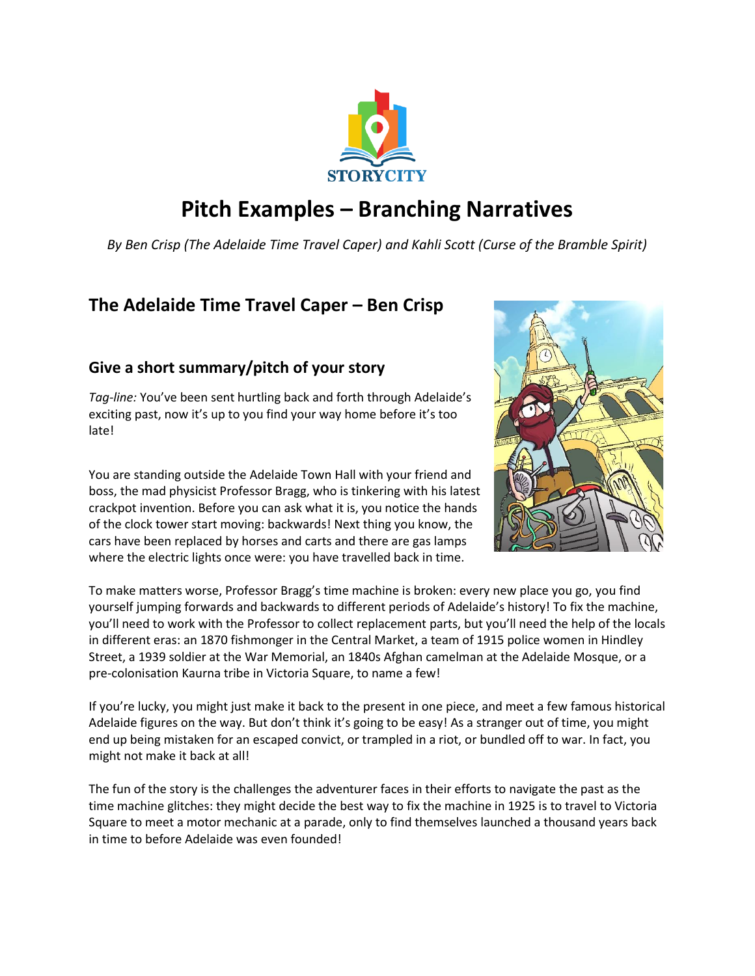

# **Pitch Examples – Branching Narratives**

*By Ben Crisp (The Adelaide Time Travel Caper) and Kahli Scott (Curse of the Bramble Spirit)*

## **The Adelaide Time Travel Caper – Ben Crisp**

### **Give a short summary/pitch of your story**

*Tag-line:* You've been sent hurtling back and forth through Adelaide's exciting past, now it's up to you find your way home before it's too late!

You are standing outside the Adelaide Town Hall with your friend and boss, the mad physicist Professor Bragg, who is tinkering with his latest crackpot invention. Before you can ask what it is, you notice the hands of the clock tower start moving: backwards! Next thing you know, the cars have been replaced by horses and carts and there are gas lamps where the electric lights once were: you have travelled back in time.



To make matters worse, Professor Bragg's time machine is broken: every new place you go, you find yourself jumping forwards and backwards to different periods of Adelaide's history! To fix the machine, you'll need to work with the Professor to collect replacement parts, but you'll need the help of the locals in different eras: an 1870 fishmonger in the Central Market, a team of 1915 police women in Hindley Street, a 1939 soldier at the War Memorial, an 1840s Afghan camelman at the Adelaide Mosque, or a pre-colonisation Kaurna tribe in Victoria Square, to name a few!

If you're lucky, you might just make it back to the present in one piece, and meet a few famous historical Adelaide figures on the way. But don't think it's going to be easy! As a stranger out of time, you might end up being mistaken for an escaped convict, or trampled in a riot, or bundled off to war. In fact, you might not make it back at all!

The fun of the story is the challenges the adventurer faces in their efforts to navigate the past as the time machine glitches: they might decide the best way to fix the machine in 1925 is to travel to Victoria Square to meet a motor mechanic at a parade, only to find themselves launched a thousand years back in time to before Adelaide was even founded!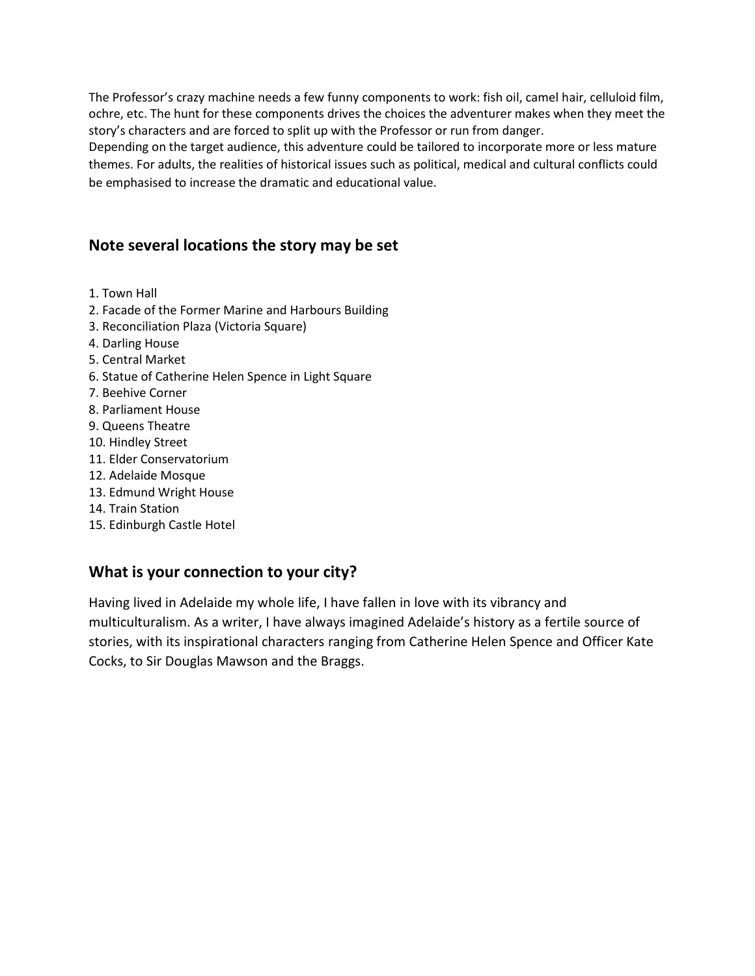The Professor's crazy machine needs a few funny components to work: fish oil, camel hair, celluloid film, ochre, etc. The hunt for these components drives the choices the adventurer makes when they meet the story's characters and are forced to split up with the Professor or run from danger.

Depending on the target audience, this adventure could be tailored to incorporate more or less mature themes. For adults, the realities of historical issues such as political, medical and cultural conflicts could be emphasised to increase the dramatic and educational value.

#### **Note several locations the story may be set**

- 1. Town Hall
- 2. Facade of the Former Marine and Harbours Building
- 3. Reconciliation Plaza (Victoria Square)
- 4. Darling House
- 5. Central Market
- 6. Statue of Catherine Helen Spence in Light Square
- 7. Beehive Corner
- 8. Parliament House
- 9. Queens Theatre
- 10. Hindley Street
- 11. Elder Conservatorium
- 12. Adelaide Mosque
- 13. Edmund Wright House
- 14. Train Station
- 15. Edinburgh Castle Hotel

### **What is your connection to your city?**

Having lived in Adelaide my whole life, I have fallen in love with its vibrancy and multiculturalism. As a writer, I have always imagined Adelaide's history as a fertile source of stories, with its inspirational characters ranging from Catherine Helen Spence and Officer Kate Cocks, to Sir Douglas Mawson and the Braggs.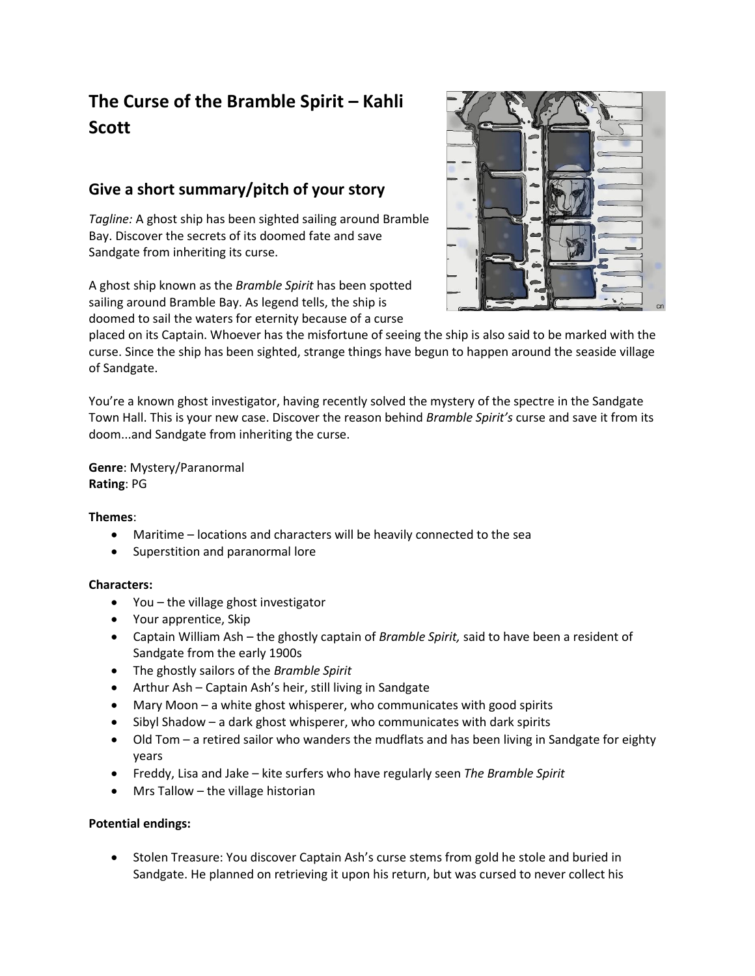## **The Curse of the Bramble Spirit – Kahli Scott**

## **Give a short summary/pitch of your story**

*Tagline:* A ghost ship has been sighted sailing around Bramble Bay. Discover the secrets of its doomed fate and save Sandgate from inheriting its curse.

A ghost ship known as the *Bramble Spirit* has been spotted sailing around Bramble Bay. As legend tells, the ship is doomed to sail the waters for eternity because of a curse



placed on its Captain. Whoever has the misfortune of seeing the ship is also said to be marked with the curse. Since the ship has been sighted, strange things have begun to happen around the seaside village of Sandgate.

You're a known ghost investigator, having recently solved the mystery of the spectre in the Sandgate Town Hall. This is your new case. Discover the reason behind *Bramble Spirit's* curse and save it from its doom...and Sandgate from inheriting the curse.

**Genre**: Mystery/Paranormal **Rating**: PG

#### **Themes**:

- Maritime locations and characters will be heavily connected to the sea
- Superstition and paranormal lore

#### **Characters:**

- You the village ghost investigator
- Your apprentice, Skip
- Captain William Ash the ghostly captain of *Bramble Spirit,* said to have been a resident of Sandgate from the early 1900s
- The ghostly sailors of the *Bramble Spirit*
- Arthur Ash Captain Ash's heir, still living in Sandgate
- Mary Moon a white ghost whisperer, who communicates with good spirits
- Sibyl Shadow a dark ghost whisperer, who communicates with dark spirits
- Old Tom a retired sailor who wanders the mudflats and has been living in Sandgate for eighty years
- Freddy, Lisa and Jake kite surfers who have regularly seen *The Bramble Spirit*
- Mrs Tallow  $-$  the village historian

#### **Potential endings:**

• Stolen Treasure: You discover Captain Ash's curse stems from gold he stole and buried in Sandgate. He planned on retrieving it upon his return, but was cursed to never collect his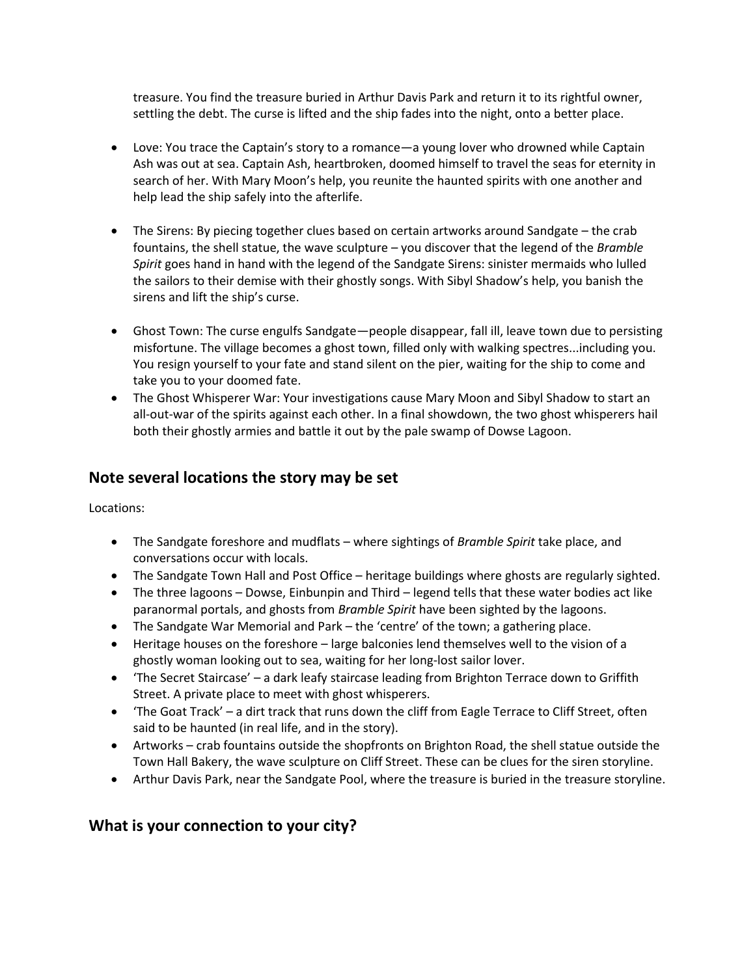treasure. You find the treasure buried in Arthur Davis Park and return it to its rightful owner, settling the debt. The curse is lifted and the ship fades into the night, onto a better place.

- Love: You trace the Captain's story to a romance—a young lover who drowned while Captain Ash was out at sea. Captain Ash, heartbroken, doomed himself to travel the seas for eternity in search of her. With Mary Moon's help, you reunite the haunted spirits with one another and help lead the ship safely into the afterlife.
- The Sirens: By piecing together clues based on certain artworks around Sandgate the crab fountains, the shell statue, the wave sculpture – you discover that the legend of the *Bramble Spirit* goes hand in hand with the legend of the Sandgate Sirens: sinister mermaids who lulled the sailors to their demise with their ghostly songs. With Sibyl Shadow's help, you banish the sirens and lift the ship's curse.
- Ghost Town: The curse engulfs Sandgate—people disappear, fall ill, leave town due to persisting misfortune. The village becomes a ghost town, filled only with walking spectres...including you. You resign yourself to your fate and stand silent on the pier, waiting for the ship to come and take you to your doomed fate.
- The Ghost Whisperer War: Your investigations cause Mary Moon and Sibyl Shadow to start an all-out-war of the spirits against each other. In a final showdown, the two ghost whisperers hail both their ghostly armies and battle it out by the pale swamp of Dowse Lagoon.

#### **Note several locations the story may be set**

Locations:

- The Sandgate foreshore and mudflats where sightings of *Bramble Spirit* take place, and conversations occur with locals.
- The Sandgate Town Hall and Post Office heritage buildings where ghosts are regularly sighted.
- The three lagoons Dowse, Einbunpin and Third legend tells that these water bodies act like paranormal portals, and ghosts from *Bramble Spirit* have been sighted by the lagoons.
- The Sandgate War Memorial and Park the 'centre' of the town; a gathering place.
- Heritage houses on the foreshore large balconies lend themselves well to the vision of a ghostly woman looking out to sea, waiting for her long-lost sailor lover.
- 'The Secret Staircase' a dark leafy staircase leading from Brighton Terrace down to Griffith Street. A private place to meet with ghost whisperers.
- 'The Goat Track' a dirt track that runs down the cliff from Eagle Terrace to Cliff Street, often said to be haunted (in real life, and in the story).
- Artworks crab fountains outside the shopfronts on Brighton Road, the shell statue outside the Town Hall Bakery, the wave sculpture on Cliff Street. These can be clues for the siren storyline.
- Arthur Davis Park, near the Sandgate Pool, where the treasure is buried in the treasure storyline.

#### **What is your connection to your city?**